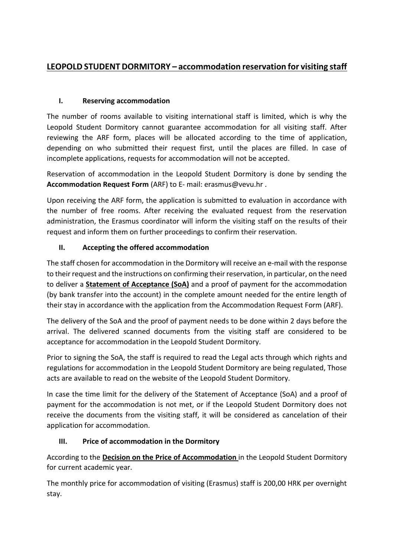# **LEOPOLD STUDENT DORMITORY – accommodation reservation for visiting staff**

## **I. Reserving accommodation**

The number of rooms available to visiting international staff is limited, which is why the Leopold Student Dormitory cannot guarantee accommodation for all visiting staff. After reviewing the ARF form, places will be allocated according to the time of application, depending on who submitted their request first, until the places are filled. In case of incomplete applications, requests for accommodation will not be accepted.

Reservation of accommodation in the Leopold Student Dormitory is done by sending the **Accommodation Request Form** (ARF) to E- mail: erasmus@vevu.hr .

Upon receiving the ARF form, the application is submitted to evaluation in accordance with the number of free rooms. After receiving the evaluated request from the reservation administration, the Erasmus coordinator will inform the visiting staff on the results of their request and inform them on further proceedings to confirm their reservation.

# **II. Accepting the offered accommodation**

The staff chosen for accommodation in the Dormitory will receive an e-mail with the response to their request and the instructions on confirming their reservation, in particular, on the need to deliver a **Statement of Acceptance (SoA)** and a proof of payment for the accommodation (by bank transfer into the account) in the complete amount needed for the entire length of their stay in accordance with the application from the Accommodation Request Form (ARF).

The delivery of the SoA and the proof of payment needs to be done within 2 days before the arrival. The delivered scanned documents from the visiting staff are considered to be acceptance for accommodation in the Leopold Student Dormitory.

Prior to signing the SoA, the staff is required to read the Legal acts through which rights and regulations for accommodation in the Leopold Student Dormitory are being regulated, Those acts are available to read on the website of the Leopold Student Dormitory.

In case the time limit for the delivery of the Statement of Acceptance (SoA) and a proof of payment for the accommodation is not met, or if the Leopold Student Dormitory does not receive the documents from the visiting staff, it will be considered as cancelation of their application for accommodation.

### **III. Price of accommodation in the Dormitory**

According to the **Decision on the Price of Accommodation** in the Leopold Student Dormitory for current academic year.

The monthly price for accommodation of visiting (Erasmus) staff is 200,00 HRK per overnight stay.